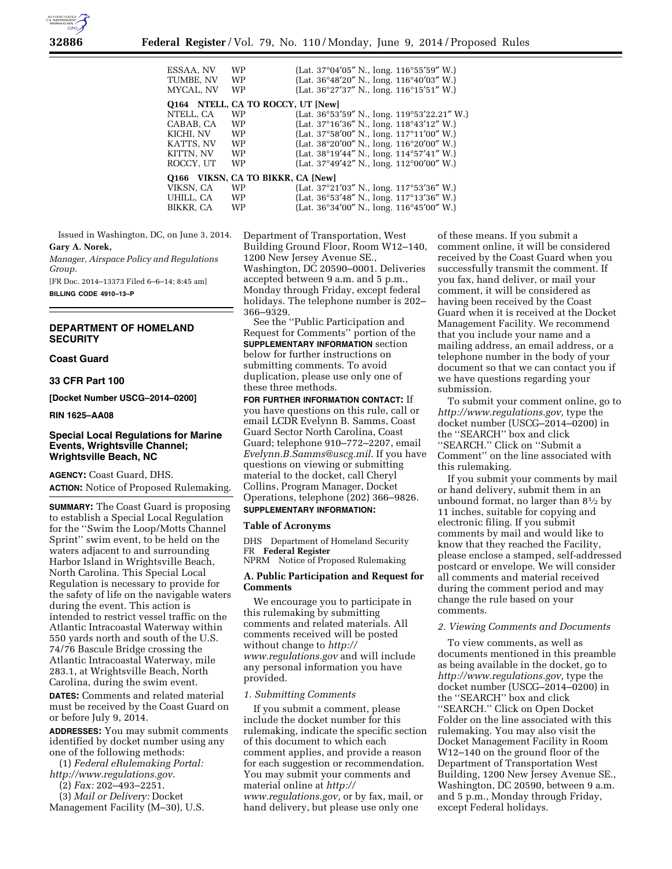

| ESSAA. NV<br>TUMBE, NV<br>MYCAL. NV | <b>WP</b><br><b>WP</b><br><b>WP</b> | (Lat. $37^{\circ}04'05''$ N., long. $116^{\circ}55'59''$ W.)<br>(Lat. 36°48'20" N., long. 116°40'03" W.)<br>(Lat. 36°27'37" N., long. 116°15'51" W.) |
|-------------------------------------|-------------------------------------|------------------------------------------------------------------------------------------------------------------------------------------------------|
|                                     | Q164 NTELL, CA TO ROCCY, UT [New]   |                                                                                                                                                      |
| NTELL, CA                           | <b>WP</b>                           | (Lat. 36°53'59" N., long. 119°53'22.21" W.)                                                                                                          |
| CABAB, CA                           | <b>WP</b>                           | (Lat. 37°16'36" N., long. 118°43'12" W.)                                                                                                             |
| KICHI, NV                           | <b>WP</b>                           | (Lat. 37°58'00" N., long. 117°11'00" W.)                                                                                                             |
| KATTS, NV                           | <b>WP</b>                           | (Lat. 38°20'00" N., long. 116°20'00" W.)                                                                                                             |
| KITTN, NV                           | <b>WP</b>                           | (Lat. 38°19'44" N., long. 114°57'41" W.)                                                                                                             |
| ROCCY, UT                           | WP                                  | (Lat. 37°49'42" N., long. 112°00'00" W.)                                                                                                             |
| O166                                | VIKSN. CA TO BIKKR. CA [New]        |                                                                                                                                                      |
| VIKSN, CA                           | <b>WP</b>                           | (Lat. 37°21'03" N., long. 117°53'36" W.)                                                                                                             |
| UHILL, CA                           | <b>WP</b>                           | (Lat. 36°53'48" N., long. 117°13'36" W.)                                                                                                             |
| BIKKR, CA                           | WP                                  | (Lat. 36°34'00" N., long. 116°45'00" W.)                                                                                                             |

Issued in Washington, DC, on June 3, 2014. **Gary A. Norek,** 

*Manager, Airspace Policy and Regulations Group.*  [FR Doc. 2014–13373 Filed 6–6–14; 8:45 am] **BILLING CODE 4910–13–P** 

# **DEPARTMENT OF HOMELAND SECURITY**

#### **Coast Guard**

### **33 CFR Part 100**

**[Docket Number USCG–2014–0200]** 

#### **RIN 1625–AA08**

## **Special Local Regulations for Marine Events, Wrightsville Channel; Wrightsville Beach, NC**

**AGENCY:** Coast Guard, DHS.

**ACTION:** Notice of Proposed Rulemaking.

**SUMMARY:** The Coast Guard is proposing to establish a Special Local Regulation for the ''Swim the Loop/Motts Channel Sprint'' swim event, to be held on the waters adjacent to and surrounding Harbor Island in Wrightsville Beach, North Carolina. This Special Local Regulation is necessary to provide for the safety of life on the navigable waters during the event. This action is intended to restrict vessel traffic on the Atlantic Intracoastal Waterway within 550 yards north and south of the U.S. 74/76 Bascule Bridge crossing the Atlantic Intracoastal Waterway, mile 283.1, at Wrightsville Beach, North Carolina, during the swim event.

**DATES:** Comments and related material must be received by the Coast Guard on or before July 9, 2014.

**ADDRESSES:** You may submit comments identified by docket number using any one of the following methods:

(1) *Federal eRulemaking Portal: <http://www.regulations.gov>*.

- (2) *Fax:* 202–493–2251.
- (3) *Mail or Delivery:* Docket
- Management Facility (M–30), U.S.

Department of Transportation, West Building Ground Floor, Room W12–140, 1200 New Jersey Avenue SE., Washington, DC 20590–0001. Deliveries accepted between 9 a.m. and 5 p.m., Monday through Friday, except federal holidays. The telephone number is 202– 366–9329.

See the ''Public Participation and Request for Comments'' portion of the **SUPPLEMENTARY INFORMATION** section below for further instructions on submitting comments. To avoid duplication, please use only one of these three methods.

**FOR FURTHER INFORMATION CONTACT:** If you have questions on this rule, call or email LCDR Evelynn B. Samms, Coast Guard Sector North Carolina, Coast Guard; telephone 910–772–2207, email *[Evelynn.B.Samms@uscg.mil](mailto:Evelynn.B.Samms@uscg.mil)*. If you have questions on viewing or submitting material to the docket, call Cheryl Collins, Program Manager, Docket Operations, telephone (202) 366–9826. **SUPPLEMENTARY INFORMATION:** 

#### **Table of Acronyms**

DHS Department of Homeland Security FR **Federal Register** 

NPRM Notice of Proposed Rulemaking

## **A. Public Participation and Request for Comments**

We encourage you to participate in this rulemaking by submitting comments and related materials. All comments received will be posted without change to *[http://](http://www.regulations.gov) [www.regulations.gov](http://www.regulations.gov)* and will include any personal information you have provided.

### *1. Submitting Comments*

If you submit a comment, please include the docket number for this rulemaking, indicate the specific section of this document to which each comment applies, and provide a reason for each suggestion or recommendation. You may submit your comments and material online at *[http://](http://www.regulations.gov) [www.regulations.gov,](http://www.regulations.gov)* or by fax, mail, or hand delivery, but please use only one

of these means. If you submit a comment online, it will be considered received by the Coast Guard when you successfully transmit the comment. If you fax, hand deliver, or mail your comment, it will be considered as having been received by the Coast Guard when it is received at the Docket Management Facility. We recommend that you include your name and a mailing address, an email address, or a telephone number in the body of your document so that we can contact you if we have questions regarding your submission.

To submit your comment online, go to *[http://www.regulations.gov,](http://www.regulations.gov)* type the docket number (USCG–2014–0200) in the ''SEARCH'' box and click ''SEARCH.'' Click on ''Submit a Comment'' on the line associated with this rulemaking.

If you submit your comments by mail or hand delivery, submit them in an unbound format, no larger than 81⁄2 by 11 inches, suitable for copying and electronic filing. If you submit comments by mail and would like to know that they reached the Facility, please enclose a stamped, self-addressed postcard or envelope. We will consider all comments and material received during the comment period and may change the rule based on your comments.

#### *2. Viewing Comments and Documents*

To view comments, as well as documents mentioned in this preamble as being available in the docket, go to *[http://www.regulations.gov,](http://www.regulations.gov)* type the docket number (USCG–2014–0200) in the ''SEARCH'' box and click ''SEARCH.'' Click on Open Docket Folder on the line associated with this rulemaking. You may also visit the Docket Management Facility in Room W12–140 on the ground floor of the Department of Transportation West Building, 1200 New Jersey Avenue SE., Washington, DC 20590, between 9 a.m. and 5 p.m., Monday through Friday, except Federal holidays.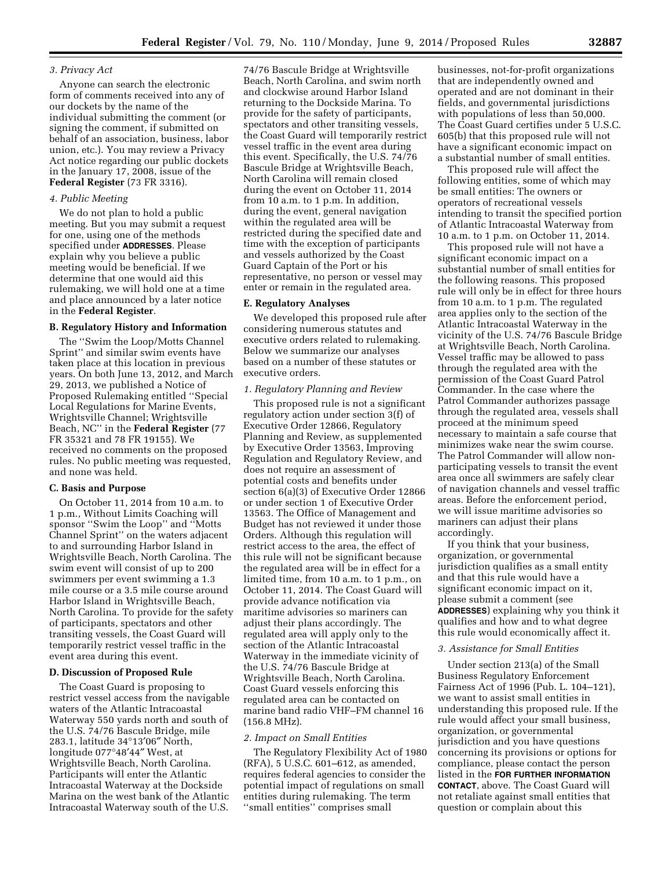### *3. Privacy Act*

Anyone can search the electronic form of comments received into any of our dockets by the name of the individual submitting the comment (or signing the comment, if submitted on behalf of an association, business, labor union, etc.). You may review a Privacy Act notice regarding our public dockets in the January 17, 2008, issue of the **Federal Register** (73 FR 3316).

#### *4. Public Meeting*

We do not plan to hold a public meeting. But you may submit a request for one, using one of the methods specified under **ADDRESSES**. Please explain why you believe a public meeting would be beneficial. If we determine that one would aid this rulemaking, we will hold one at a time and place announced by a later notice in the **Federal Register**.

# **B. Regulatory History and Information**

The ''Swim the Loop/Motts Channel Sprint'' and similar swim events have taken place at this location in previous years. On both June 13, 2012, and March 29, 2013, we published a Notice of Proposed Rulemaking entitled ''Special Local Regulations for Marine Events, Wrightsville Channel; Wrightsville Beach, NC'' in the **Federal Register** (77 FR 35321 and 78 FR 19155). We received no comments on the proposed rules. No public meeting was requested, and none was held.

#### **C. Basis and Purpose**

On October 11, 2014 from 10 a.m. to 1 p.m., Without Limits Coaching will sponsor ''Swim the Loop'' and ''Motts Channel Sprint'' on the waters adjacent to and surrounding Harbor Island in Wrightsville Beach, North Carolina. The swim event will consist of up to 200 swimmers per event swimming a 1.3 mile course or a 3.5 mile course around Harbor Island in Wrightsville Beach, North Carolina. To provide for the safety of participants, spectators and other transiting vessels, the Coast Guard will temporarily restrict vessel traffic in the event area during this event.

#### **D. Discussion of Proposed Rule**

The Coast Guard is proposing to restrict vessel access from the navigable waters of the Atlantic Intracoastal Waterway 550 yards north and south of the U.S. 74/76 Bascule Bridge, mile 283.1, latitude 34°13′06″ North, longitude 077°48′44″ West, at Wrightsville Beach, North Carolina. Participants will enter the Atlantic Intracoastal Waterway at the Dockside Marina on the west bank of the Atlantic Intracoastal Waterway south of the U.S.

74/76 Bascule Bridge at Wrightsville Beach, North Carolina, and swim north and clockwise around Harbor Island returning to the Dockside Marina. To provide for the safety of participants, spectators and other transiting vessels, the Coast Guard will temporarily restrict vessel traffic in the event area during this event. Specifically, the U.S. 74/76 Bascule Bridge at Wrightsville Beach, North Carolina will remain closed during the event on October 11, 2014 from 10 a.m. to 1 p.m. In addition, during the event, general navigation within the regulated area will be restricted during the specified date and time with the exception of participants and vessels authorized by the Coast Guard Captain of the Port or his representative, no person or vessel may enter or remain in the regulated area.

#### **E. Regulatory Analyses**

We developed this proposed rule after considering numerous statutes and executive orders related to rulemaking. Below we summarize our analyses based on a number of these statutes or executive orders.

#### *1. Regulatory Planning and Review*

This proposed rule is not a significant regulatory action under section 3(f) of Executive Order 12866, Regulatory Planning and Review, as supplemented by Executive Order 13563, Improving Regulation and Regulatory Review, and does not require an assessment of potential costs and benefits under section 6(a)(3) of Executive Order 12866 or under section 1 of Executive Order 13563. The Office of Management and Budget has not reviewed it under those Orders. Although this regulation will restrict access to the area, the effect of this rule will not be significant because the regulated area will be in effect for a limited time, from 10 a.m. to 1 p.m., on October 11, 2014. The Coast Guard will provide advance notification via maritime advisories so mariners can adjust their plans accordingly. The regulated area will apply only to the section of the Atlantic Intracoastal Waterway in the immediate vicinity of the U.S. 74/76 Bascule Bridge at Wrightsville Beach, North Carolina. Coast Guard vessels enforcing this regulated area can be contacted on marine band radio VHF–FM channel 16 (156.8 MHz).

#### *2. Impact on Small Entities*

The Regulatory Flexibility Act of 1980 (RFA), 5 U.S.C. 601–612, as amended, requires federal agencies to consider the potential impact of regulations on small entities during rulemaking. The term ''small entities'' comprises small

businesses, not-for-profit organizations that are independently owned and operated and are not dominant in their fields, and governmental jurisdictions with populations of less than 50,000. The Coast Guard certifies under 5 U.S.C. 605(b) that this proposed rule will not have a significant economic impact on a substantial number of small entities.

This proposed rule will affect the following entities, some of which may be small entities: The owners or operators of recreational vessels intending to transit the specified portion of Atlantic Intracoastal Waterway from 10 a.m. to 1 p.m. on October 11, 2014.

This proposed rule will not have a significant economic impact on a substantial number of small entities for the following reasons. This proposed rule will only be in effect for three hours from 10 a.m. to 1 p.m. The regulated area applies only to the section of the Atlantic Intracoastal Waterway in the vicinity of the U.S. 74/76 Bascule Bridge at Wrightsville Beach, North Carolina. Vessel traffic may be allowed to pass through the regulated area with the permission of the Coast Guard Patrol Commander. In the case where the Patrol Commander authorizes passage through the regulated area, vessels shall proceed at the minimum speed necessary to maintain a safe course that minimizes wake near the swim course. The Patrol Commander will allow nonparticipating vessels to transit the event area once all swimmers are safely clear of navigation channels and vessel traffic areas. Before the enforcement period, we will issue maritime advisories so mariners can adjust their plans accordingly.

If you think that your business, organization, or governmental jurisdiction qualifies as a small entity and that this rule would have a significant economic impact on it, please submit a comment (see **ADDRESSES**) explaining why you think it qualifies and how and to what degree this rule would economically affect it.

### *3. Assistance for Small Entities*

Under section 213(a) of the Small Business Regulatory Enforcement Fairness Act of 1996 (Pub. L. 104–121), we want to assist small entities in understanding this proposed rule. If the rule would affect your small business, organization, or governmental jurisdiction and you have questions concerning its provisions or options for compliance, please contact the person listed in the **FOR FURTHER INFORMATION CONTACT**, above. The Coast Guard will not retaliate against small entities that question or complain about this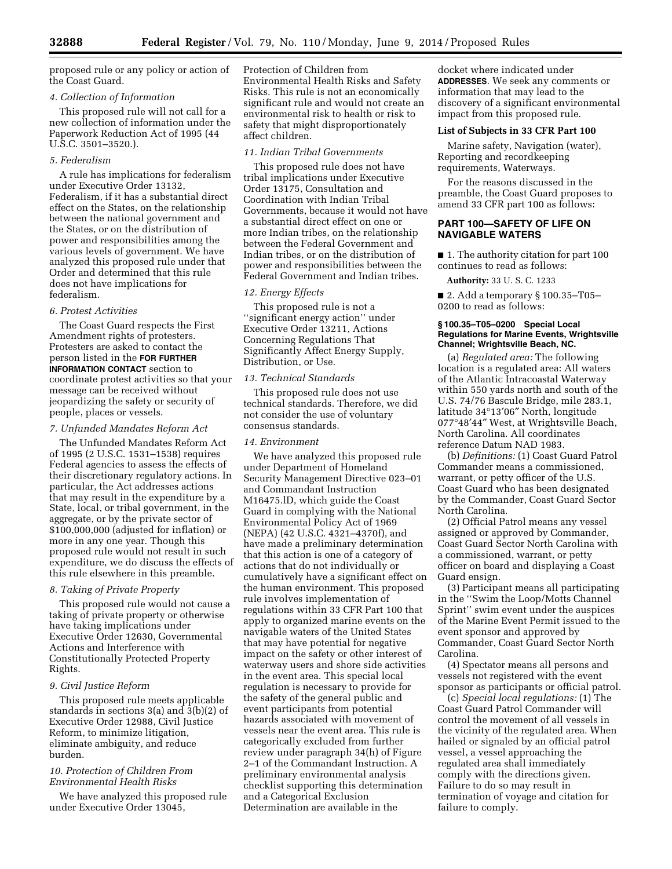proposed rule or any policy or action of the Coast Guard.

## *4. Collection of Information*

This proposed rule will not call for a new collection of information under the Paperwork Reduction Act of 1995 (44 U.S.C. 3501–3520.).

# *5. Federalism*

A rule has implications for federalism under Executive Order 13132, Federalism, if it has a substantial direct effect on the States, on the relationship between the national government and the States, or on the distribution of power and responsibilities among the various levels of government. We have analyzed this proposed rule under that Order and determined that this rule does not have implications for federalism.

# *6. Protest Activities*

The Coast Guard respects the First Amendment rights of protesters. Protesters are asked to contact the person listed in the **FOR FURTHER INFORMATION CONTACT** section to coordinate protest activities so that your message can be received without jeopardizing the safety or security of people, places or vessels.

# *7. Unfunded Mandates Reform Act*

The Unfunded Mandates Reform Act of 1995 (2 U.S.C. 1531–1538) requires Federal agencies to assess the effects of their discretionary regulatory actions. In particular, the Act addresses actions that may result in the expenditure by a State, local, or tribal government, in the aggregate, or by the private sector of \$100,000,000 (adjusted for inflation) or more in any one year. Though this proposed rule would not result in such expenditure, we do discuss the effects of this rule elsewhere in this preamble.

## *8. Taking of Private Property*

This proposed rule would not cause a taking of private property or otherwise have taking implications under Executive Order 12630, Governmental Actions and Interference with Constitutionally Protected Property Rights.

## *9. Civil Justice Reform*

This proposed rule meets applicable standards in sections 3(a) and 3(b)(2) of Executive Order 12988, Civil Justice Reform, to minimize litigation, eliminate ambiguity, and reduce burden.

# *10. Protection of Children From Environmental Health Risks*

We have analyzed this proposed rule under Executive Order 13045,

Protection of Children from Environmental Health Risks and Safety Risks. This rule is not an economically significant rule and would not create an environmental risk to health or risk to safety that might disproportionately affect children.

# *11. Indian Tribal Governments*

This proposed rule does not have tribal implications under Executive Order 13175, Consultation and Coordination with Indian Tribal Governments, because it would not have a substantial direct effect on one or more Indian tribes, on the relationship between the Federal Government and Indian tribes, or on the distribution of power and responsibilities between the Federal Government and Indian tribes.

# *12. Energy Effects*

This proposed rule is not a ''significant energy action'' under Executive Order 13211, Actions Concerning Regulations That Significantly Affect Energy Supply, Distribution, or Use.

## *13. Technical Standards*

This proposed rule does not use technical standards. Therefore, we did not consider the use of voluntary consensus standards.

#### *14. Environment*

We have analyzed this proposed rule under Department of Homeland Security Management Directive 023–01 and Commandant Instruction M16475.lD, which guide the Coast Guard in complying with the National Environmental Policy Act of 1969 (NEPA) (42 U.S.C. 4321–4370f), and have made a preliminary determination that this action is one of a category of actions that do not individually or cumulatively have a significant effect on the human environment. This proposed rule involves implementation of regulations within 33 CFR Part 100 that apply to organized marine events on the navigable waters of the United States that may have potential for negative impact on the safety or other interest of waterway users and shore side activities in the event area. This special local regulation is necessary to provide for the safety of the general public and event participants from potential hazards associated with movement of vessels near the event area. This rule is categorically excluded from further review under paragraph 34(h) of Figure 2–1 of the Commandant Instruction. A preliminary environmental analysis checklist supporting this determination and a Categorical Exclusion Determination are available in the

docket where indicated under **ADDRESSES**. We seek any comments or information that may lead to the discovery of a significant environmental impact from this proposed rule.

### **List of Subjects in 33 CFR Part 100**

Marine safety, Navigation (water), Reporting and recordkeeping requirements, Waterways.

For the reasons discussed in the preamble, the Coast Guard proposes to amend 33 CFR part 100 as follows:

# **PART 100—SAFETY OF LIFE ON NAVIGABLE WATERS**

■ 1. The authority citation for part 100 continues to read as follows:

**Authority:** 33 U. S. C. 1233

■ 2. Add a temporary § 100.35–T05– 0200 to read as follows:

### **§ 100.35–T05–0200 Special Local Regulations for Marine Events, Wrightsville Channel; Wrightsville Beach, NC.**

(a) *Regulated area:* The following location is a regulated area: All waters of the Atlantic Intracoastal Waterway within 550 yards north and south of the U.S. 74/76 Bascule Bridge, mile 283.1, latitude 34°13′06″ North, longitude 077°48′44″ West, at Wrightsville Beach, North Carolina. All coordinates reference Datum NAD 1983.

(b) *Definitions:* (1) Coast Guard Patrol Commander means a commissioned, warrant, or petty officer of the U.S. Coast Guard who has been designated by the Commander, Coast Guard Sector North Carolina.

(2) Official Patrol means any vessel assigned or approved by Commander, Coast Guard Sector North Carolina with a commissioned, warrant, or petty officer on board and displaying a Coast Guard ensign.

(3) Participant means all participating in the ''Swim the Loop/Motts Channel Sprint'' swim event under the auspices of the Marine Event Permit issued to the event sponsor and approved by Commander, Coast Guard Sector North Carolina.

(4) Spectator means all persons and vessels not registered with the event sponsor as participants or official patrol.

(c) *Special local regulations:* (1) The Coast Guard Patrol Commander will control the movement of all vessels in the vicinity of the regulated area. When hailed or signaled by an official patrol vessel, a vessel approaching the regulated area shall immediately comply with the directions given. Failure to do so may result in termination of voyage and citation for failure to comply.